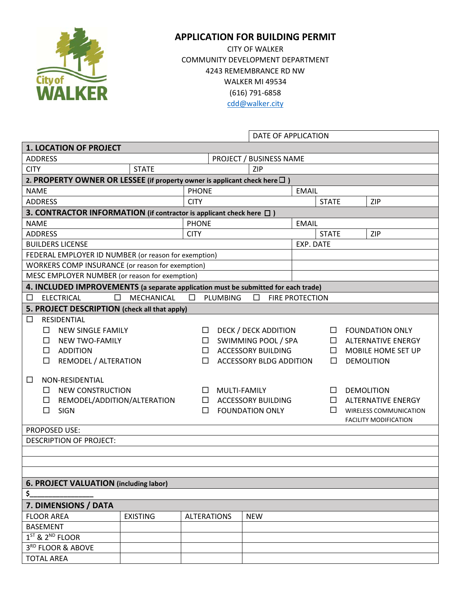

## **APPLICATION FOR BUILDING PERMIT**

CITY OF WALKER COMMUNITY DEVELOPMENT DEPARTMENT 4243 REMEMBRANCE RD NW WALKER MI 49534 (616) 791-6858 cdd@walker.city

|                                                                                    |                                                         |              |                                                        |          |                                  | DATE OF APPLICATION |           |  |                              |  |
|------------------------------------------------------------------------------------|---------------------------------------------------------|--------------|--------------------------------------------------------|----------|----------------------------------|---------------------|-----------|--|------------------------------|--|
|                                                                                    | <b>1. LOCATION OF PROJECT</b>                           |              |                                                        |          |                                  |                     |           |  |                              |  |
|                                                                                    | <b>ADDRESS</b>                                          |              | PROJECT / BUSINESS NAME                                |          |                                  |                     |           |  |                              |  |
| <b>CITY</b><br><b>STATE</b>                                                        |                                                         |              | <b>ZIP</b>                                             |          |                                  |                     |           |  |                              |  |
| 2. PROPERTY OWNER OR LESSEE (if property owner is applicant check here $\Box$ )    |                                                         |              |                                                        |          |                                  |                     |           |  |                              |  |
| <b>NAME</b>                                                                        |                                                         | <b>PHONE</b> |                                                        |          | <b>EMAIL</b>                     |                     |           |  |                              |  |
| <b>ADDRESS</b>                                                                     |                                                         |              | <b>CITY</b>                                            |          |                                  | <b>STATE</b>        |           |  | ZIP                          |  |
| 3. CONTRACTOR INFORMATION (if contractor is applicant check here $\square$ )       |                                                         |              |                                                        |          |                                  |                     |           |  |                              |  |
| <b>NAME</b>                                                                        |                                                         |              | <b>PHONE</b>                                           |          |                                  | <b>EMAIL</b>        |           |  |                              |  |
| <b>ADDRESS</b>                                                                     |                                                         |              | <b>CITY</b>                                            |          |                                  | <b>STATE</b><br>ZIP |           |  |                              |  |
| <b>BUILDERS LICENSE</b>                                                            |                                                         |              |                                                        |          |                                  |                     | EXP. DATE |  |                              |  |
|                                                                                    | FEDERAL EMPLOYER ID NUMBER (or reason for exemption)    |              |                                                        |          |                                  |                     |           |  |                              |  |
|                                                                                    | <b>WORKERS COMP INSURANCE (or reason for exemption)</b> |              |                                                        |          |                                  |                     |           |  |                              |  |
| MESC EMPLOYER NUMBER (or reason for exemption)                                     |                                                         |              |                                                        |          |                                  |                     |           |  |                              |  |
| 4. INCLUDED IMPROVEMENTS (a separate application must be submitted for each trade) |                                                         |              |                                                        |          |                                  |                     |           |  |                              |  |
| $\Box$                                                                             | $\Box$<br><b>ELECTRICAL</b>                             | MECHANICAL   | $\Box$                                                 | PLUMBING | $\Box$<br><b>FIRE PROTECTION</b> |                     |           |  |                              |  |
| 5. PROJECT DESCRIPTION (check all that apply)                                      |                                                         |              |                                                        |          |                                  |                     |           |  |                              |  |
| □                                                                                  | RESIDENTIAL                                             |              |                                                        |          |                                  |                     |           |  |                              |  |
|                                                                                    | <b>NEW SINGLE FAMILY</b><br>$\Box$                      |              | $\Box$                                                 |          | DECK / DECK ADDITION             |                     | $\Box$    |  | <b>FOUNDATION ONLY</b>       |  |
|                                                                                    | <b>NEW TWO-FAMILY</b><br>□                              |              | $\Box$                                                 |          | SWIMMING POOL / SPA              |                     | П         |  | <b>ALTERNATIVE ENERGY</b>    |  |
|                                                                                    | <b>ADDITION</b><br>$\Box$                               |              |                                                        |          | <b>ACCESSORY BUILDING</b>        |                     | $\Box$    |  | MOBILE HOME SET UP           |  |
|                                                                                    | $\Box$<br>REMODEL / ALTERATION                          |              | □                                                      |          | <b>ACCESSORY BLDG ADDITION</b>   |                     | $\Box$    |  | <b>DEMOLITION</b>            |  |
|                                                                                    |                                                         |              |                                                        |          |                                  |                     |           |  |                              |  |
| $\Box$                                                                             | NON-RESIDENTIAL                                         |              |                                                        |          |                                  |                     |           |  |                              |  |
|                                                                                    | <b>NEW CONSTRUCTION</b><br>$\Box$                       |              | MULTI-FAMILY<br><b>DEMOLITION</b><br>$\Box$<br>$\perp$ |          |                                  |                     |           |  |                              |  |
|                                                                                    | REMODEL/ADDITION/ALTERATION<br>$\Box$                   |              | $\Box$                                                 |          | <b>ACCESSORY BUILDING</b>        |                     | $\Box$    |  | <b>ALTERNATIVE ENERGY</b>    |  |
|                                                                                    | $\Box$<br><b>SIGN</b>                                   |              | П                                                      |          | <b>FOUNDATION ONLY</b>           |                     | $\Box$    |  | WIRELESS COMMUNICATION       |  |
|                                                                                    |                                                         |              |                                                        |          |                                  |                     |           |  | <b>FACILITY MODIFICATION</b> |  |
|                                                                                    | PROPOSED USE:                                           |              |                                                        |          |                                  |                     |           |  |                              |  |
| <b>DESCRIPTION OF PROJECT:</b>                                                     |                                                         |              |                                                        |          |                                  |                     |           |  |                              |  |
|                                                                                    |                                                         |              |                                                        |          |                                  |                     |           |  |                              |  |
|                                                                                    |                                                         |              |                                                        |          |                                  |                     |           |  |                              |  |
|                                                                                    |                                                         |              |                                                        |          |                                  |                     |           |  |                              |  |
| 6. PROJECT VALUATION (including labor)                                             |                                                         |              |                                                        |          |                                  |                     |           |  |                              |  |
| \$_                                                                                |                                                         |              |                                                        |          |                                  |                     |           |  |                              |  |
| 7. DIMENSIONS / DATA                                                               |                                                         |              |                                                        |          |                                  |                     |           |  |                              |  |
| <b>EXISTING</b><br><b>FLOOR AREA</b>                                               |                                                         |              | <b>ALTERATIONS</b><br><b>NEW</b>                       |          |                                  |                     |           |  |                              |  |
| <b>BASEMENT</b>                                                                    |                                                         |              |                                                        |          |                                  |                     |           |  |                              |  |
|                                                                                    | $1ST$ & $2ND$ FLOOR                                     |              |                                                        |          |                                  |                     |           |  |                              |  |
| 3RD FLOOR & ABOVE                                                                  |                                                         |              |                                                        |          |                                  |                     |           |  |                              |  |
| <b>TOTAL AREA</b>                                                                  |                                                         |              |                                                        |          |                                  |                     |           |  |                              |  |